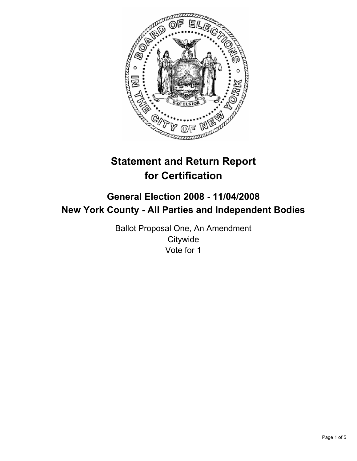

# **Statement and Return Report for Certification**

# **General Election 2008 - 11/04/2008 New York County - All Parties and Independent Bodies**

Ballot Proposal One, An Amendment **Citywide** Vote for 1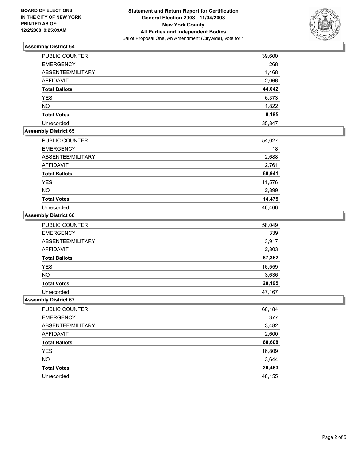

# **Assembly District 64**

| <b>PUBLIC COUNTER</b> | 39,600 |
|-----------------------|--------|
| <b>EMERGENCY</b>      | 268    |
| ABSENTEE/MILITARY     | 1,468  |
| <b>AFFIDAVIT</b>      | 2,066  |
| <b>Total Ballots</b>  | 44,042 |
| <b>YES</b>            | 6,373  |
| <b>NO</b>             | 1,822  |
| <b>Total Votes</b>    | 8,195  |
| Unrecorded            | 35,847 |

# **Assembly District 65**

| PUBLIC COUNTER       | 54,027 |
|----------------------|--------|
| <b>EMERGENCY</b>     | 18     |
| ABSENTEE/MILITARY    | 2,688  |
| <b>AFFIDAVIT</b>     | 2,761  |
| <b>Total Ballots</b> | 60,941 |
| <b>YES</b>           | 11,576 |
| <b>NO</b>            | 2,899  |
| <b>Total Votes</b>   | 14,475 |
| Unrecorded           | 46,466 |

#### **Assembly District 66**

| PUBLIC COUNTER       | 58,049 |
|----------------------|--------|
| <b>EMERGENCY</b>     | 339    |
| ABSENTEE/MILITARY    | 3,917  |
| <b>AFFIDAVIT</b>     | 2,803  |
| <b>Total Ballots</b> | 67,362 |
| <b>YES</b>           | 16,559 |
| <b>NO</b>            | 3,636  |
| <b>Total Votes</b>   | 20,195 |
| Unrecorded           | 47,167 |

#### **Assembly District 67**

| PUBLIC COUNTER       | 60,184 |
|----------------------|--------|
| <b>EMERGENCY</b>     | 377    |
| ABSENTEE/MILITARY    | 3,482  |
| <b>AFFIDAVIT</b>     | 2,600  |
| <b>Total Ballots</b> | 68,608 |
| <b>YES</b>           | 16,809 |
| <b>NO</b>            | 3,644  |
| <b>Total Votes</b>   | 20,453 |
| Unrecorded           | 48,155 |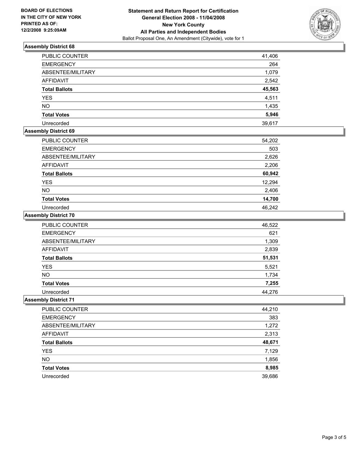

# **Assembly District 68**

| <b>PUBLIC COUNTER</b> | 41,406 |
|-----------------------|--------|
| <b>EMERGENCY</b>      | 264    |
| ABSENTEE/MILITARY     | 1,079  |
| <b>AFFIDAVIT</b>      | 2,542  |
| <b>Total Ballots</b>  | 45,563 |
| <b>YES</b>            | 4,511  |
| <b>NO</b>             | 1,435  |
| <b>Total Votes</b>    | 5,946  |
| Unrecorded            | 39,617 |

#### **Assembly District 69**

| PUBLIC COUNTER       | 54,202 |
|----------------------|--------|
| <b>EMERGENCY</b>     | 503    |
| ABSENTEE/MILITARY    | 2,626  |
| <b>AFFIDAVIT</b>     | 2,206  |
| <b>Total Ballots</b> | 60,942 |
| <b>YES</b>           | 12,294 |
| <b>NO</b>            | 2,406  |
| <b>Total Votes</b>   | 14,700 |
| Unrecorded           | 46.242 |

### **Assembly District 70**

| <b>PUBLIC COUNTER</b> | 46,522 |
|-----------------------|--------|
| <b>EMERGENCY</b>      | 621    |
| ABSENTEE/MILITARY     | 1,309  |
| AFFIDAVIT             | 2,839  |
| <b>Total Ballots</b>  | 51,531 |
| <b>YES</b>            | 5,521  |
| <b>NO</b>             | 1,734  |
| <b>Total Votes</b>    | 7,255  |
| Unrecorded            | 44,276 |

#### **Assembly District 71**

| PUBLIC COUNTER       | 44,210 |
|----------------------|--------|
| <b>EMERGENCY</b>     | 383    |
| ABSENTEE/MILITARY    | 1,272  |
| AFFIDAVIT            | 2,313  |
| <b>Total Ballots</b> | 48,671 |
| YES                  | 7,129  |
| <b>NO</b>            | 1,856  |
| <b>Total Votes</b>   | 8,985  |
| Unrecorded           | 39,686 |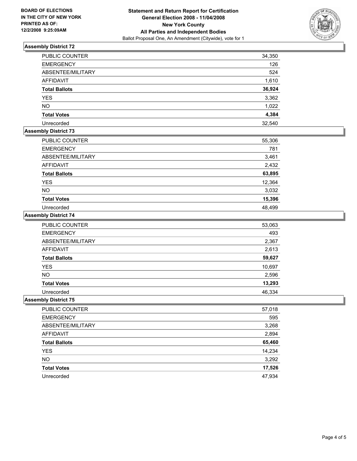

# **Assembly District 72**

| <b>PUBLIC COUNTER</b> | 34,350 |
|-----------------------|--------|
| <b>EMERGENCY</b>      | 126    |
| ABSENTEE/MILITARY     | 524    |
| <b>AFFIDAVIT</b>      | 1,610  |
| <b>Total Ballots</b>  | 36,924 |
| <b>YES</b>            | 3,362  |
| <b>NO</b>             | 1,022  |
| <b>Total Votes</b>    | 4,384  |
| Unrecorded            | 32,540 |

# **Assembly District 73**

| PUBLIC COUNTER       | 55,306 |
|----------------------|--------|
| <b>EMERGENCY</b>     | 781    |
| ABSENTEE/MILITARY    | 3,461  |
| AFFIDAVIT            | 2,432  |
| <b>Total Ballots</b> | 63,895 |
| <b>YES</b>           | 12,364 |
| <b>NO</b>            | 3,032  |
| <b>Total Votes</b>   | 15,396 |
| Unrecorded           | 48,499 |

### **Assembly District 74**

| PUBLIC COUNTER       | 53,063 |
|----------------------|--------|
| <b>EMERGENCY</b>     | 493    |
| ABSENTEE/MILITARY    | 2,367  |
| <b>AFFIDAVIT</b>     | 2,613  |
| <b>Total Ballots</b> | 59,627 |
| YES                  | 10,697 |
| <b>NO</b>            | 2,596  |
| <b>Total Votes</b>   | 13,293 |
| Unrecorded           | 46,334 |

#### **Assembly District 75**

| 57,018 |
|--------|
| 595    |
| 3,268  |
| 2,894  |
| 65,460 |
| 14,234 |
| 3,292  |
| 17,526 |
| 47,934 |
|        |